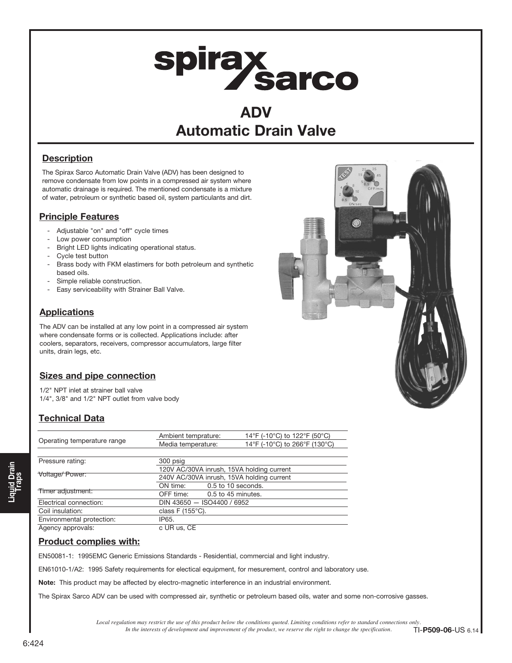# spirax<br>Sarco

### ADV Automatic Drain Valve

#### **Description**

The Spirax Sarco Automatic Drain Valve (ADV) has been designed to remove condensate from low points in a compressed air system where automatic drainage is required. The mentioned condensate is a mixture of water, petroleum or synthetic based oil, system particulants and dirt.

#### Principle Features

- Adjustable "on" and "off" cycle times
- Low power consumption
- Bright LED lights indicating operational status.
- Cycle test button
- Brass body with FKM elastimers for both petroleum and synthetic based oils.
- Simple reliable construction.
- Easy serviceability with Strainer Ball Valve.

#### **Applications**

The ADV can be installed at any low point in a compressed air system where condensate forms or is collected. Applications include: after coolers, separators, receivers, compressor accumulators, large filter units, drain legs, etc.

#### Sizes and pipe connection

1/2" NPT inlet at strainer ball valve 1/4", 3/8" and 1/2" NPT outlet from valve body

#### Technical Data

|                             | Ambient temprature:                       | 14°F (-10°C) to 122°F (50°C)  |
|-----------------------------|-------------------------------------------|-------------------------------|
| Operating temperature range | Media temperature:                        | 14°F (-10°C) to 266°F (130°C) |
|                             |                                           |                               |
| Pressure rating:            | 300 psig                                  |                               |
|                             | 120V AC/30VA inrush, 15VA holding current |                               |
| Voltage/Power:              | 240V AC/30VA inrush, 15VA holding current |                               |
|                             | ON time:                                  | 0.5 to 10 seconds.            |
| Timer adjustment:           | OFF time: 0.5 to 45 minutes.              |                               |
| Electrical connection:      | DIN 43650 $-$ ISO4400 / 6952              |                               |
| Coil insulation:            | class F $(155^{\circ}C)$ .                |                               |
| Environmental protection:   | IP65.                                     |                               |
| Agency approvals:           | c UR us, CE                               |                               |

#### Product complies with:

EN50081-1: 1995EMC Generic Emissions Standards - Residential, commercial and light industry.

EN61010-1/A2: 1995 Safety requirements for electical equipment, for mesurement, control and laboratory use.

Note: This product may be affected by electro-magnetic interference in an industrial environment.

The Spirax Sarco ADV can be used with compressed air, synthetic or petroleum based oils, water and some non-corrosive gasses.

*Local regulation may restrict the use of this product below the conditions quoted. Limiting conditions refer to standard connections only.*<br>In the interests of development and improvement of the product, we reserve the ri In the interests of development and improvement of the product, we reserve the right to change the specification.



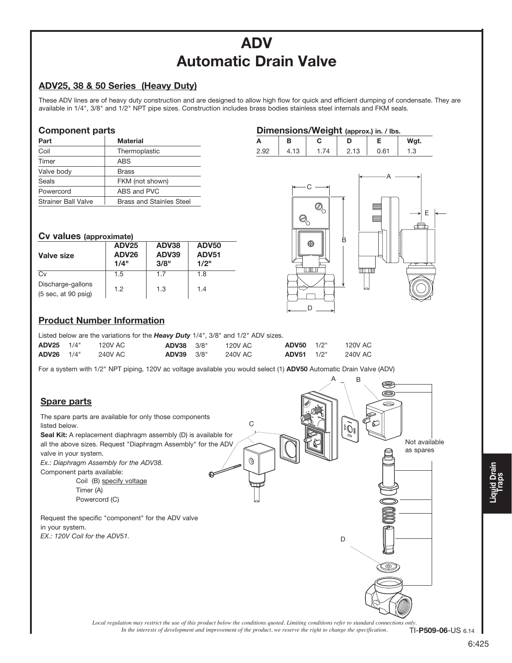# ADV Automatic Drain Valve

#### ADV25, 38 & 50 Series (Heavy Duty)

These ADV lines are of heavy duty construction and are designed to allow high flow for quick and efficient dumping of condensate. They are available in 1/4", 3/8" and 1/2" NPT pipe sizes. Construction includes brass bodies stainless steel internals and FKM seals.

#### Component parts

| Part                       | <b>Material</b>                 |
|----------------------------|---------------------------------|
| Coil                       | Thermoplastic                   |
| Timer                      | ABS                             |
| Valve body                 | <b>Brass</b>                    |
| Seals                      | FKM (not shown)                 |
| Powercord                  | ABS and PVC                     |
| <b>Strainer Ball Valve</b> | <b>Brass and Stainles Steel</b> |

#### Cv values (approximate)

| Valve size                                                          | <b>ADV25</b><br><b>ADV26</b><br>1/4" | ADV38<br><b>ADV39</b><br>3/8" | <b>ADV50</b><br><b>ADV51</b><br>1/2" |
|---------------------------------------------------------------------|--------------------------------------|-------------------------------|--------------------------------------|
| Cv                                                                  | 1.5                                  | 1.7                           | 1.8                                  |
| Discharge-gallons<br>$(5 \text{ sec}, \text{ at } 90 \text{ psiq})$ | 1.2                                  | 1.3                           | 1.4                                  |



|      |           |                       |     | Wgt.           |
|------|-----------|-----------------------|-----|----------------|
| 2.92 | ſΩ<br>د ا | $\triangleleft$<br>Ιū | .61 | $\overline{c}$ |



#### Product Number Information

|                   | Listed below are the variations for the <b>Heavy Duty</b> $1/4$ ", $3/8$ " and $1/2$ " ADV sizes. |         |                   |  |         |            |      |         |
|-------------------|---------------------------------------------------------------------------------------------------|---------|-------------------|--|---------|------------|------|---------|
| $ADV25 \t1/4"$    |                                                                                                   | 120V AC | <b>ADV38</b> 3/8" |  | 120V AC | ADV50      | 1/2" | 120V AC |
| <b>ADV26</b> 1/4" |                                                                                                   | 240V AC | <b>ADV39</b> 3/8" |  | 240V AC | ADV51 1/2" |      | 240V AC |

For a system with 1/2" NPT piping, 120V ac voltage available you would select (1) ADV50 Automatic Drain Valve (ADV)



*Local regulation may restrict the use of this product below the conditions quoted. Limiting conditions refer to standard connections only.*<br>In the interests of development and improvement of the product, we reserve the ri In the interests of development and improvement of the product, we reserve the right to change the specification.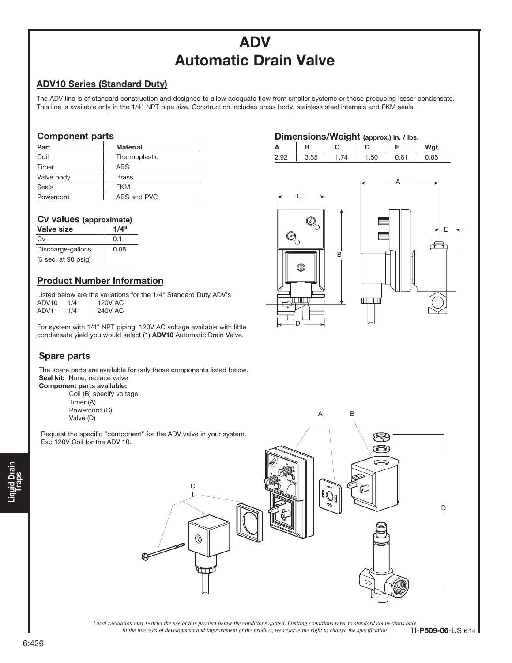## ADV Automatic Drain Valve

#### ADV10 Series (Standard Duty)

The ADV line is of standard construction and designed to allow adequate flow from smaller systems or those producing lesser condensate. This line is available only in the 1/4" NPT pipe size. Construction includes brass body, stainless steel internals and FKM seals.

> Dimensions/Weight (approx.) in. / lbs. A B C D E Wgt. 2.92 3.55 1.74 1.50 0.61 0.85

> > B

سحبسا

C

Q

Æ

Q

D

ᅚ

 $\overline{B}$ 

#### Component parts

| Part       | <b>Material</b> |
|------------|-----------------|
| Coil       | Thermoplastic   |
| Timer      | ABS             |
| Valve body | <b>Brass</b>    |
| Seals      | <b>FKM</b>      |
| Powercord  | ABS and PVC     |

#### Cv values (approximate)

| Valve size                                    | 1/4" |
|-----------------------------------------------|------|
| Сv                                            | 0.1  |
| Discharge-gallons                             | 0.08 |
| $(5 \text{ sec}, \text{at } 90 \text{ psig})$ |      |

#### Product Number Information

Listed below are the variations for the 1/4" Standard Duty ADV's<br>ADV10 1/4" 120V AC ADV10 1/4" 120V AC<br>ADV11 1/4" 240V AC  $ADV11 1/4"$ 

For system with 1/4" NPT piping, 120V AC voltage available with little condensate yield you would select (1) ADV10 Automatic Drain Valve.

#### Spare parts

The spare parts are available for only those components listed below. Seal kit: None, replace valve

Component parts available: Coil (B) specify voltage, Timer (A) Powercord (C) Valve (D)

 Request the specific "component" for the ADV valve in your system. Ex.: 120V Coil for the ADV 10.

# Liquid Drain<br>Traps



*Local regulation may restrict the use of this product below the conditions quoted. Limiting conditions refer to standard connections only.*<br>In the interests of development and improvement of the product, we reserve the ri In the interests of development and improvement of the product, we reserve the right to change the specification.

E

A